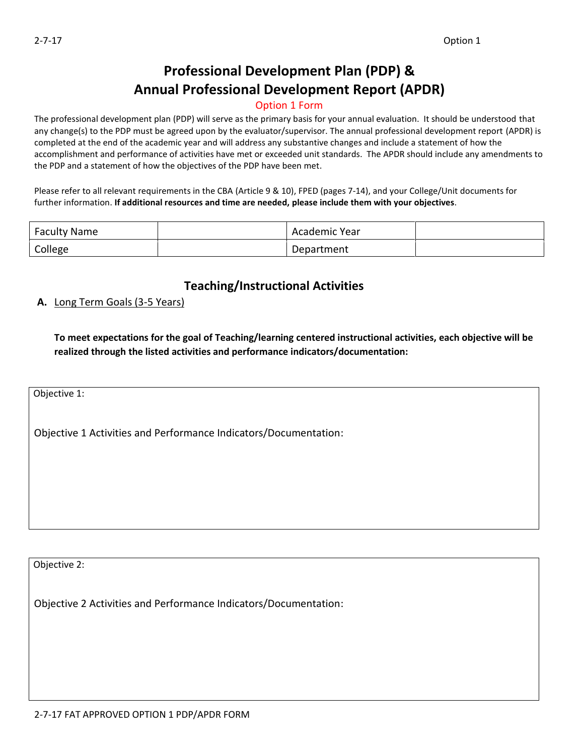# **Professional Development Plan (PDP) & Annual Professional Development Report (APDR)**

#### Option 1 Form

The professional development plan (PDP) will serve as the primary basis for your annual evaluation. It should be understood that any change(s) to the PDP must be agreed upon by the evaluator/supervisor. The annual professional development report (APDR) is completed at the end of the academic year and will address any substantive changes and include a statement of how the accomplishment and performance of activities have met or exceeded unit standards. The APDR should include any amendments to the PDP and a statement of how the objectives of the PDP have been met.

Please refer to all relevant requirements in the CBA (Article 9 & 10), FPED (pages 7-14), and your College/Unit documents for further information. **If additional resources and time are needed, please include them with your objectives**.

| <b>Faculty Name</b> | Academic Year |  |
|---------------------|---------------|--|
| College             | Department    |  |

### **Teaching/Instructional Activities**

#### **A.** Long Term Goals (3-5 Years)

**To meet expectations for the goal of Teaching/learning centered instructional activities, each objective will be realized through the listed activities and performance indicators/documentation:**

Objective 1:

Objective 1 Activities and Performance Indicators/Documentation:

Objective 2:

Objective 2 Activities and Performance Indicators/Documentation: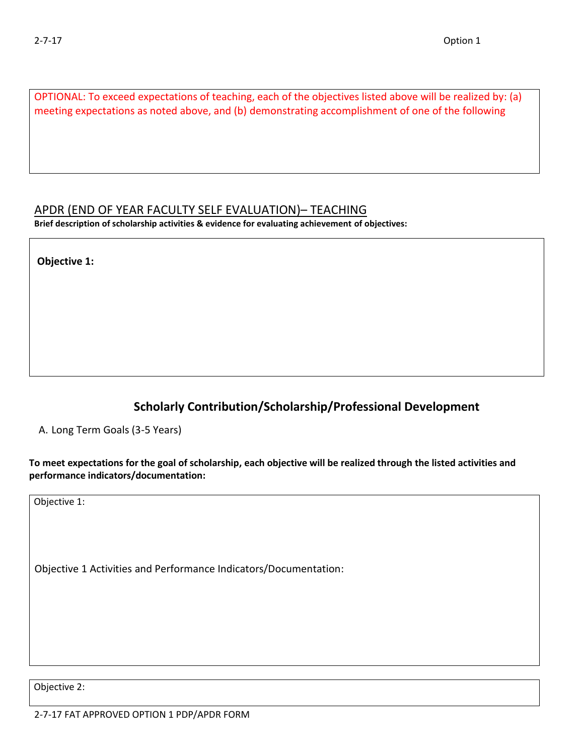OPTIONAL: To exceed expectations of teaching, each of the objectives listed above will be realized by: (a) meeting expectations as noted above, and (b) demonstrating accomplishment of one of the following

### APDR (END OF YEAR FACULTY SELF EVALUATION)– TEACHING

**Brief description of scholarship activities & evidence for evaluating achievement of objectives:**

**Objective 1:** 

## **Scholarly Contribution/Scholarship/Professional Development**

A. Long Term Goals (3-5 Years)

**To meet expectations for the goal of scholarship, each objective will be realized through the listed activities and performance indicators/documentation:**

Objective 1:

Objective 1 Activities and Performance Indicators/Documentation:

Objective 2:

2-7-17 FAT APPROVED OPTION 1 PDP/APDR FORM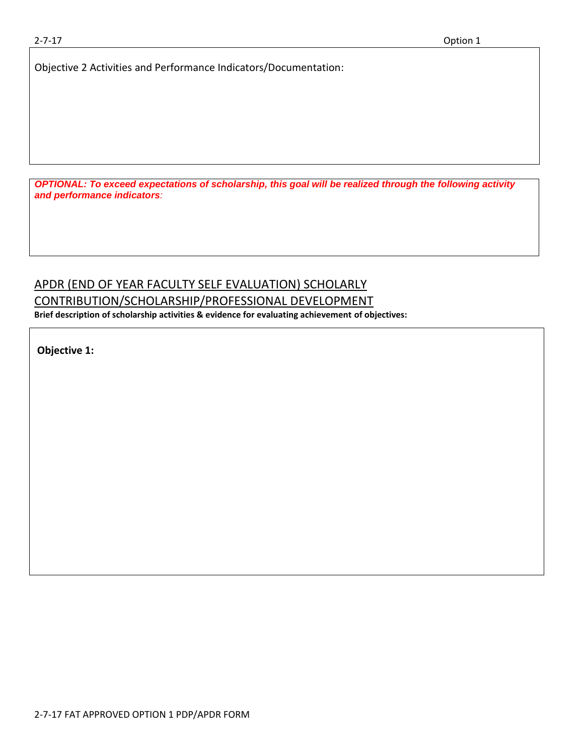Objective 2 Activities and Performance Indicators/Documentation:

*OPTIONAL: To exceed expectations of scholarship, this goal will be realized through the following activity and performance indicators:* 

#### APDR (END OF YEAR FACULTY SELF EVALUATION) SCHOLARLY CONTRIBUTION/SCHOLARSHIP/PROFESSIONAL DEVELOPMENT **Brief description of scholarship activities & evidence for evaluating achievement of objectives:**

**Objective 1:**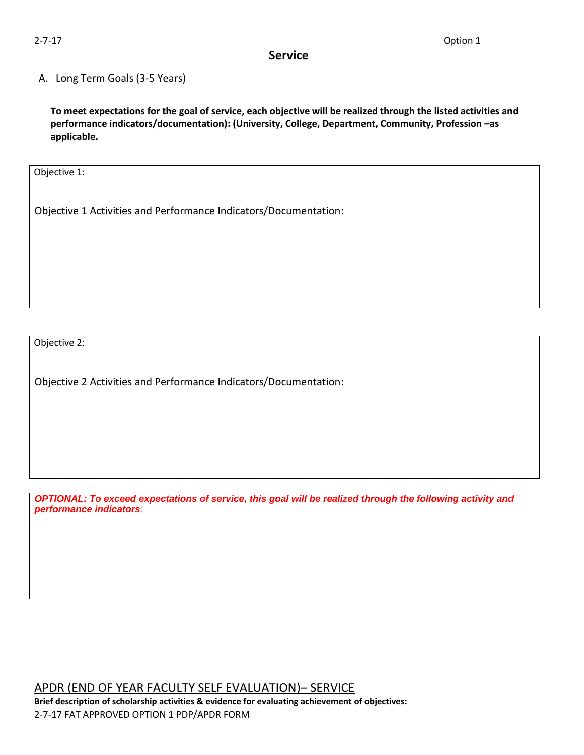#### **Service**

A. Long Term Goals (3-5 Years)

**To meet expectations for the goal of service, each objective will be realized through the listed activities and performance indicators/documentation): (University, College, Department, Community, Profession –as applicable.** 

Objective 1:

Objective 1 Activities and Performance Indicators/Documentation:

Objective 2:

Objective 2 Activities and Performance Indicators/Documentation:

*OPTIONAL: To exceed expectations of service, this goal will be realized through the following activity and performance indicators:* 

APDR (END OF YEAR FACULTY SELF EVALUATION)– SERVICE

2-7-17 FAT APPROVED OPTION 1 PDP/APDR FORM **Brief description of scholarship activities & evidence for evaluating achievement of objectives:**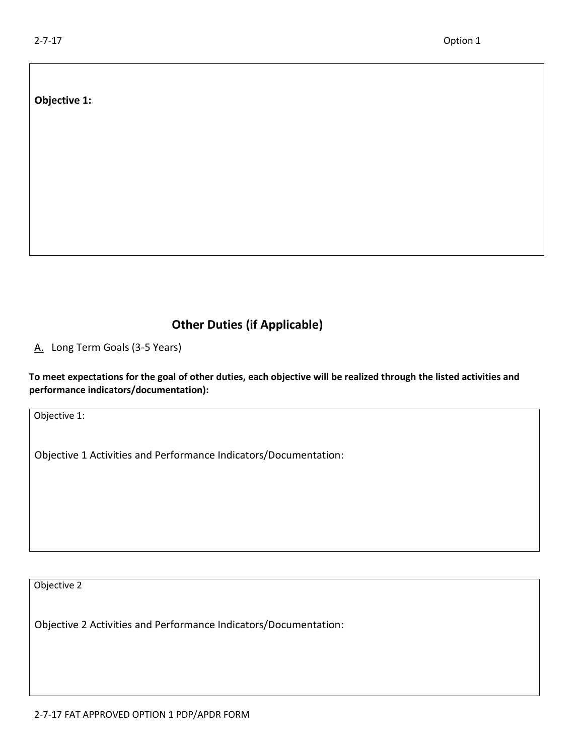**Objective 1:** 

## **Other Duties (if Applicable)**

A. Long Term Goals (3-5 Years)

**To meet expectations for the goal of other duties, each objective will be realized through the listed activities and performance indicators/documentation):** 

Objective 1:

Objective 1 Activities and Performance Indicators/Documentation:

Objective 2

Objective 2 Activities and Performance Indicators/Documentation: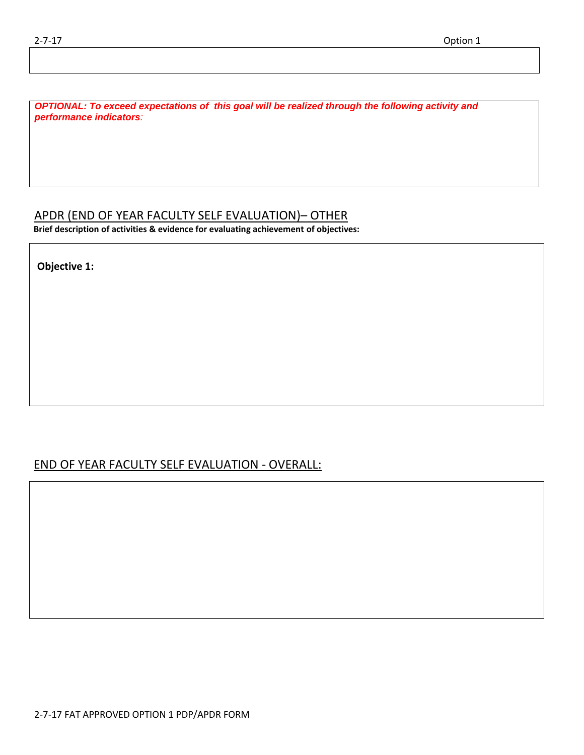*OPTIONAL: To exceed expectations of this goal will be realized through the following activity and performance indicators:*

### APDR (END OF YEAR FACULTY SELF EVALUATION)– OTHER

**Brief description of activities & evidence for evaluating achievement of objectives:**

**Objective 1:** 

### END OF YEAR FACULTY SELF EVALUATION - OVERALL: